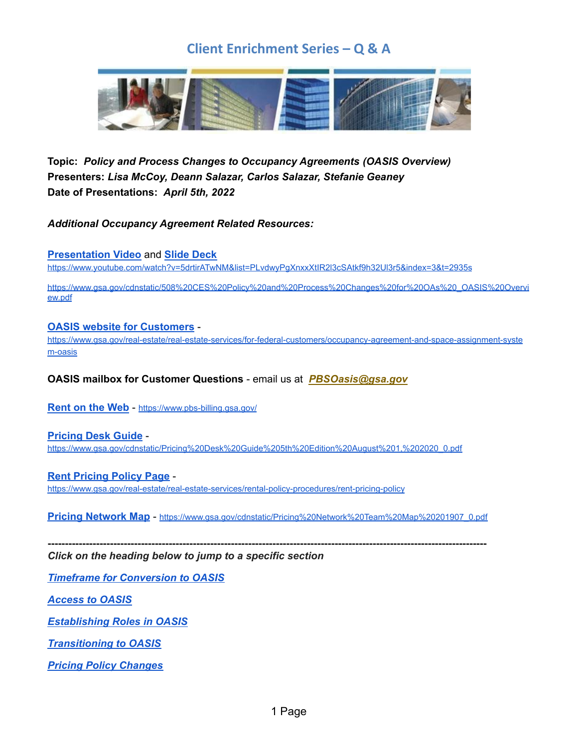

 **Topic:** *Policy and Process Changes to Occupancy Agreements (OASIS Overview)*  **Presenters:** *Lisa McCoy, Deann Salazar, Carlos Salazar, Stefanie Geaney*  **Date of Presentations:** *April 5th, 2022*

 *Additional Occupancy Agreement Related Resources:*

**[Presentation](https://www.youtube.com/watch?v=5drtirATwNM&list=PLvdwyPgXnxxXtIR2l3cSAtkf9h32Ul3r5&index=3&t=2935s) Video** and **Slide [Deck](https://www.gsa.gov/cdnstatic/508%20CES%20Policy%20and%20Process%20Changes%20for%20OAs%20_OASIS%20Overview.pdf)**

<https://www.youtube.com/watch?v=5drtirATwNM&list=PLvdwyPgXnxxXtIR2l3cSAtkf9h32Ul3r5&index=3&t=2935s>

[https://www.gsa.gov/cdnstatic/508%20CES%20Policy%20and%20Process%20Changes%20for%20OAs%20\\_OASIS%20Overvi](https://www.gsa.gov/cdnstatic/508%20CES%20Policy%20and%20Process%20Changes%20for%20OAs%20_OASIS%20Overvi) ew.pdf

#### **OASIS website for [Customers](https://www.gsa.gov/real-estate/real-estate-services/for-federal-customers/occupancy-agreement-and-space-assignment-system-oasis)** -

[https://www.gsa.gov/real-estate/real-estate-services/for-federal-customers/occupancy-agreement-and-space-assignment-syste](https://www.gsa.gov/real-estate/real-estate-services/for-federal-customers/occupancy-agreement-and-space-assignment-system-oasis) [m-oasis](https://www.gsa.gov/real-estate/real-estate-services/for-federal-customers/occupancy-agreement-and-space-assignment-system-oasis)

 **OASIS mailbox for Customer Questions** - email us at *[PBSOasis@gsa.gov](mailto:PBSOasis@gsa.gov)*

 **[Rent](https://www.pbs-billing.gsa.gov/) on the Web** - <https://www.pbs-billing.gsa.gov/>

 **[Pricing](https://www.gsa.gov/cdnstatic/Pricing%20Desk%20Guide%205th%20Edition%20August%201,%202020_0.pdf) Desk Guide** -

[https://www.gsa.gov/cdnstatic/Pricing%20Desk%20Guide%205th%20Edition%20August%201,%202020\\_0.pdf](https://www.gsa.gov/cdnstatic/Pricing%20Desk%20Guide%205th%20Edition%20August%201,%202020_0.pdf)

 **Rent [Pricing](https://www.gsa.gov/real-estate/real-estate-services/rental-policy-procedures/rent-pricing-policy) Policy Page** <https://www.gsa.gov/real-estate/real-estate-services/rental-policy-procedures/rent-pricing-policy>

 **Pricing [Network](https://www.gsa.gov/cdnstatic/Pricing%20Network%20Team%20Map%20201907_0.pdf) Map** - [https://www.gsa.gov/cdnstatic/Pricing%20Network%20Team%20Map%20201907\\_0.pdf](https://www.gsa.gov/cdnstatic/Pricing%20Network%20Team%20Map%20201907_0.pdf)

**-------------------------------------------------------------------------------------------------------------------------------**

 *Click on the heading below to jump to a specific section*

 *Timeframe for [Conversion](#page-1-0) to OASIS*

 *[Access](#page-1-1) to OASIS*

 *[Establishing](#page-2-0) Roles in OASIS*

 *[Transitioning](#page-2-1) to OASIS*

 *Pricing Policy [Changes](#page-4-0)*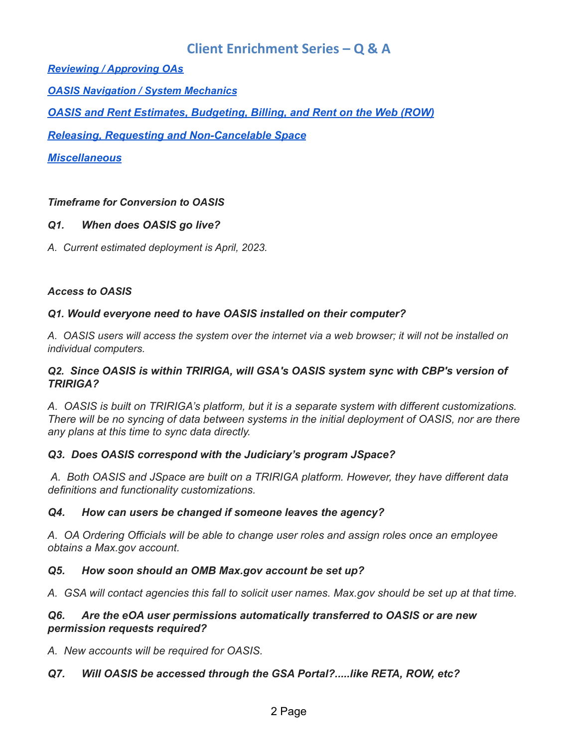*Reviewing / [Approving](#page-5-0) OAs*

 *OASIS [Navigation](#page-7-0) / System Mechanics*

 *OASIS and Rent Estimates, [Budgeting,](#page-9-0) Billing, and Rent on the Web (ROW)*

 *Releasing, Requesting and [Non-Cancelable](#page-12-0) Space*

*[Miscellaneous](#page-13-0)*

#### <span id="page-1-0"></span> *Timeframe for Conversion to OASIS*

#### *Q1. When does OASIS go live?*

 *A. Current estimated deployment is April, 2023.*

#### <span id="page-1-1"></span> *Access to OASIS*

#### *Q1. Would everyone need to have OASIS installed on their computer?*

A. OASIS users will access the system over the internet via a web browser; it will not be installed on *individual computers.*

#### *Q2. Since OASIS is within TRIRIGA, will GSA's OASIS system sync with CBP's version of TRIRIGA?*

 *A. OASIS is built on TRIRIGA's platform, but it is a separate system with different customizations.* There will be no syncing of data between systems in the initial deployment of OASIS, nor are there  *any plans at this time to sync data directly.*

#### *Q3. Does OASIS correspond with the Judiciary's program JSpace?*

 *A. Both OASIS and JSpace are built on a TRIRIGA platform. However, they have different data definitions and functionality customizations.*

#### *Q4. How can users be changed if someone leaves the agency?*

 *A. OA Ordering Officials will be able to change user roles and assign roles once an employee obtains a Max.gov account.*

#### *Q5. How soon should an OMB Max.gov account be set up?*

A. GSA will contact agencies this fall to solicit user names. Max.gov should be set up at that time.

#### *Q6. Are the eOA user permissions automatically transferred to OASIS or are new permission requests required?*

 *A. New accounts will be required for OASIS.*

### *Q7. Will OASIS be accessed through the GSA Portal?.....like RETA, ROW, etc?*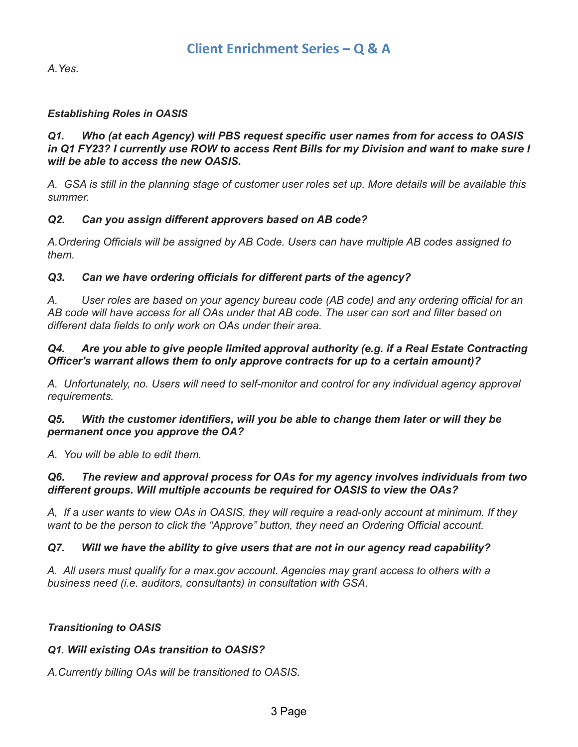*A.Yes.*

#### <span id="page-2-0"></span> *Establishing Roles in OASIS*

#### *Q1. Who (at each Agency) will PBS request specific user names from for access to OASIS* in Q1 FY23? I currently use ROW to access Rent Bills for my Division and want to make sure I  *will be able to access the new OASIS.*

A. GSA is still in the planning stage of customer user roles set up. More details will be available this *summer.*

#### *Q2. Can you assign different approvers based on AB code?*

 *A.Ordering Officials will be assigned by AB Code. Users can have multiple AB codes assigned to them.*

#### *Q3. Can we have ordering officials for different parts of the agency?*

A. User roles are based on your agency bureau code (AB code) and any ordering official for an AB code will have access for all OAs under that AB code. The user can sort and filter based on  *different data fields to only work on OAs under their area.*

#### *Q4. Are you able to give people limited approval authority (e.g. if a Real Estate Contracting Officer's warrant allows them to only approve contracts for up to a certain amount)?*

 *A. Unfortunately, no. Users will need to self-monitor and control for any individual agency approval requirements.*

#### *Q5. With the customer identifiers, will you be able to change them later or will they be permanent once you approve the OA?*

 *A. You will be able to edit them.*

#### *Q6. The review and approval process for OAs for my agency involves individuals from two different groups. Will multiple accounts be required for OASIS to view the OAs?*

A, If a user wants to view OAs in OASIS, they will require a read-only account at minimum. If they  *want to be the person to click the "Approve" button, they need an Ordering Official account.*

#### *Q7. Will we have the ability to give users that are not in our agency read capability?*

 *A. All users must qualify for a max.gov account. Agencies may grant access to others with a business need (i.e. auditors, consultants) in consultation with GSA.*

#### <span id="page-2-1"></span> *Transitioning to OASIS*

#### *Q1. Will existing OAs transition to OASIS?*

 *A.Currently billing OAs will be transitioned to OASIS.*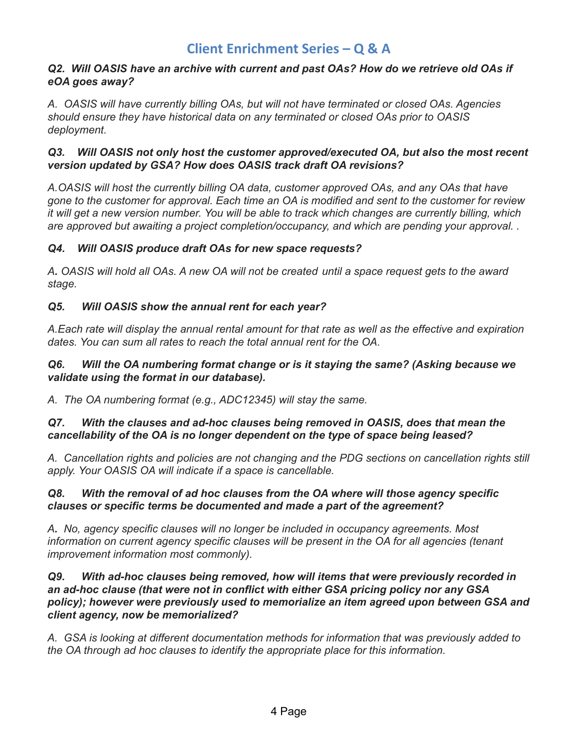#### *Q2. Will OASIS have an archive with current and past OAs? How do we retrieve old OAs if eOA goes away?*

 *A. OASIS will have currently billing OAs, but will not have terminated or closed OAs. Agencies should ensure they have historical data on any terminated or closed OAs prior to OASIS deployment.*

#### *Q3. Will OASIS not only host the customer approved/executed OA, but also the most recent version updated by GSA? How does OASIS track draft OA revisions?*

 *A.OASIS will host the currently billing OA data, customer approved OAs, and any OAs that have* gone to the customer for approval. Each time an OA is modified and sent to the customer for review it will get a new version number. You will be able to track which changes are currently billing, which  *are approved but awaiting a project completion/occupancy, and which are pending your approval. .*

### *Q4. Will OASIS produce draft OAs for new space requests?*

A. OASIS will hold all OAs. A new OA will not be created until a space request gets to the award *stage.*

### *Q5. Will OASIS show the annual rent for each year?*

A.Each rate will display the annual rental amount for that rate as well as the effective and expiration  *dates. You can sum all rates to reach the total annual rent for the OA.*

#### *Q6. Will the OA numbering format change or is it staying the same? (Asking because we validate using the format in our database).*

 *A. The OA numbering format (e.g., ADC12345) will stay the same.*

#### *Q7. With the clauses and ad-hoc clauses being removed in OASIS, does that mean the cancellability of the OA is no longer dependent on the type of space being leased?*

 *A. Cancellation rights and policies are not changing and the PDG sections on cancellation rights still apply. Your OASIS OA will indicate if a space is cancellable.*

#### *Q8. With the removal of ad hoc clauses from the OA where will those agency specific clauses or specific terms be documented and made a part of the agreement?*

 *A. No, agency specific clauses will no longer be included in occupancy agreements. Most information on current agency specific clauses will be present in the OA for all agencies (tenant improvement information most commonly).*

#### *Q9. With ad-hoc clauses being removed, how will items that were previously recorded in an ad-hoc clause (that were not in conflict with either GSA pricing policy nor any GSA policy); however were previously used to memorialize an item agreed upon between GSA and client agency, now be memorialized?*

 *A. GSA is looking at different documentation methods for information that was previously added to the OA through ad hoc clauses to identify the appropriate place for this information.*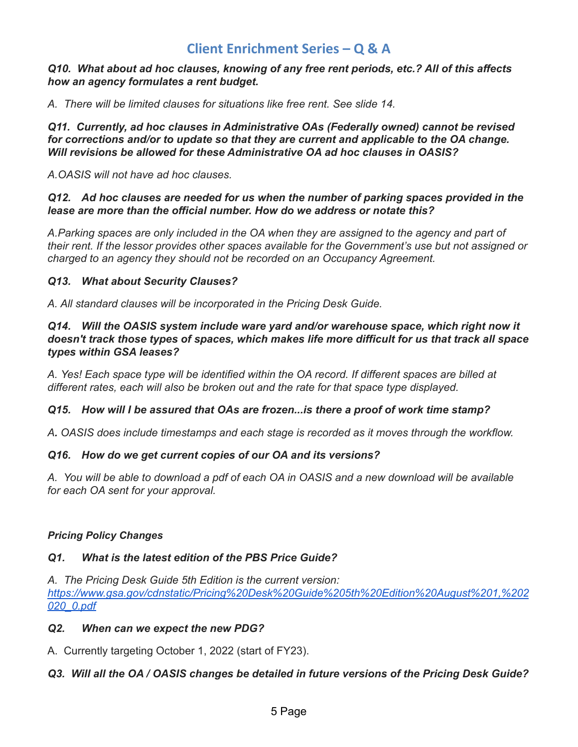#### *Q10. What about ad hoc clauses, knowing of any free rent periods, etc.? All of this affects how an agency formulates a rent budget.*

 *A. There will be limited clauses for situations like free rent. See slide 14.*

 *Q11. Currently, ad hoc clauses in Administrative OAs (Federally owned) cannot be revised for corrections and/or to update so that they are current and applicable to the OA change. Will revisions be allowed for these Administrative OA ad hoc clauses in OASIS?*

 *A.OASIS will not have ad hoc clauses.*

#### *Q12. Ad hoc clauses are needed for us when the number of parking spaces provided in the lease are more than the official number. How do we address or notate this?*

A.Parking spaces are only included in the OA when they are assigned to the agency and part of their rent. If the lessor provides other spaces available for the Government's use but not assigned or  *charged to an agency they should not be recorded on an Occupancy Agreement.*

#### *Q13. What about Security Clauses?*

 *A. All standard clauses will be incorporated in the Pricing Desk Guide.*

#### *Q14. Will the OASIS system include ware yard and/or warehouse space, which right now it doesn't track those types of spaces, which makes life more difficult for us that track all space types within GSA leases?*

A. Yes! Each space type will be identified within the OA record. If different spaces are billed at  *different rates, each will also be broken out and the rate for that space type displayed.*

#### *Q15. How will I be assured that OAs are frozen...is there a proof of work time stamp?*

 *A. OASIS does include timestamps and each stage is recorded as it moves through the workflow.*

#### *Q16. How do we get current copies of our OA and its versions?*

A. You will be able to download a pdf of each OA in OASIS and a new download will be available  *for each OA sent for your approval.*

#### <span id="page-4-0"></span> *Pricing Policy Changes*

#### *Q1. What is the latest edition of the PBS Price Guide?*

 *A. The Pricing Desk Guide 5th Edition is the current version: [https://www.gsa.gov/cdnstatic/Pricing%20Desk%20Guide%205th%20Edition%20August%201,%202](https://www.gsa.gov/cdnstatic/Pricing%20Desk%20Guide%205th%20Edition%20August%201,%202020_0.pdf) [020\\_0.pdf](https://www.gsa.gov/cdnstatic/Pricing%20Desk%20Guide%205th%20Edition%20August%201,%202020_0.pdf)*

#### *Q2. When can we expect the new PDG?*

A. Currently targeting October 1, 2022 (start of FY23).

#### Q3. Will all the OA / OASIS changes be detailed in future versions of the Pricing Desk Guide?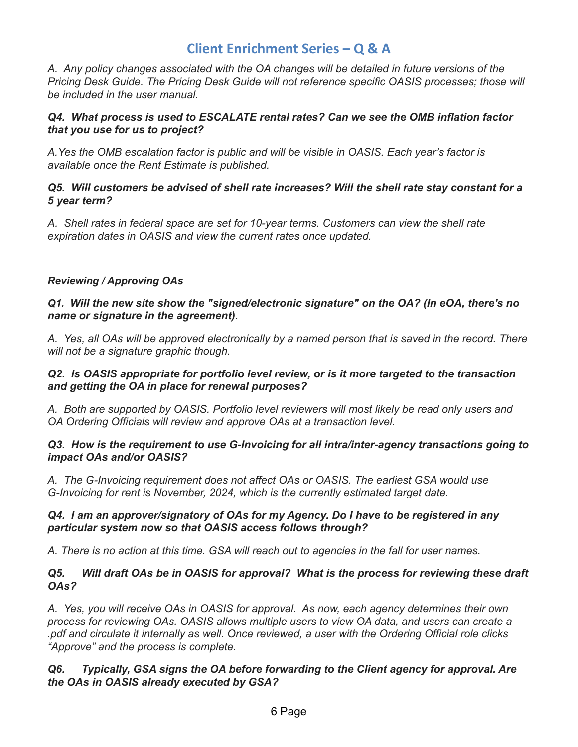*A. Any policy changes associated with the OA changes will be detailed in future versions of the Pricing Desk Guide. The Pricing Desk Guide will not reference specific OASIS processes; those will be included in the user manual.*

#### *Q4. What process is used to ESCALATE rental rates? Can we see the OMB inflation factor that you use for us to project?*

 *A.Yes the OMB escalation factor is public and will be visible in OASIS. Each year's factor is available once the Rent Estimate is published.*

#### *Q5. Will customers be advised of shell rate increases? Will the shell rate stay constant for a 5 year term?*

 *A. Shell rates in federal space are set for 10-year terms. Customers can view the shell rate expiration dates in OASIS and view the current rates once updated.*

#### <span id="page-5-0"></span> *Reviewing / Approving OAs*

#### *Q1. Will the new site show the "signed/electronic signature" on the OA? (In eOA, there's no name or signature in the agreement).*

A. Yes, all OAs will be approved electronically by a named person that is saved in the record. There  *will not be a signature graphic though.*

#### *Q2. Is OASIS appropriate for portfolio level review, or is it more targeted to the transaction and getting the OA in place for renewal purposes?*

A. Both are supported by OASIS. Portfolio level reviewers will most likely be read only users and  *OA Ordering Officials will review and approve OAs at a transaction level.*

#### *Q3. How is the requirement to use G-Invoicing for all intra/inter-agency transactions going to impact OAs and/or OASIS?*

 *A. The G-Invoicing requirement does not affect OAs or OASIS. The earliest GSA would use G-Invoicing for rent is November, 2024, which is the currently estimated target date.*

#### *Q4. I am an approver/signatory of OAs for my Agency. Do I have to be registered in any particular system now so that OASIS access follows through?*

A. There is no action at this time. GSA will reach out to agencies in the fall for user names.

#### *Q5. Will draft OAs be in OASIS for approval? What is the process for reviewing these draft OAs?*

 *A. Yes, you will receive OAs in OASIS for approval. As now, each agency determines their own process for reviewing OAs. OASIS allows multiple users to view OA data, and users can create a* pdf and circulate it internally as well. Once reviewed, a user with the Ordering Official role clicks.  *"Approve" and the process is complete.*

#### *Q6. Typically, GSA signs the OA before forwarding to the Client agency for approval. Are the OAs in OASIS already executed by GSA?*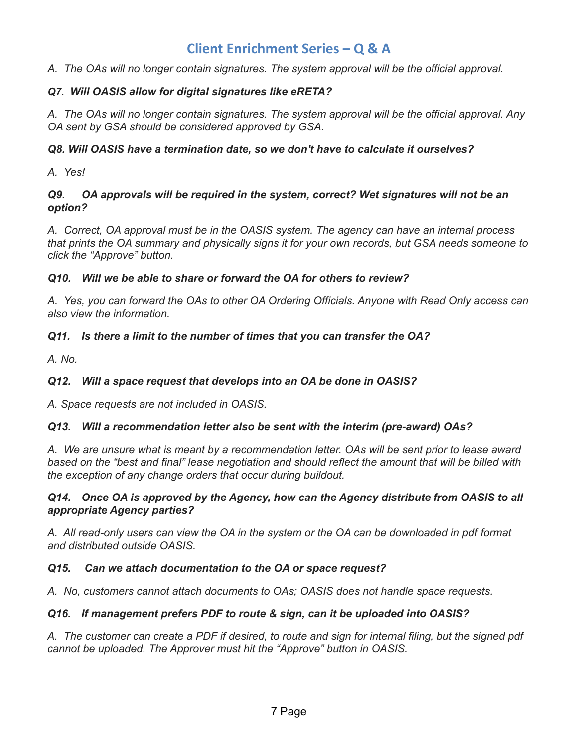*A. The OAs will no longer contain signatures. The system approval will be the official approval.*

#### *Q7. Will OASIS allow for digital signatures like eRETA?*

A. The OAs will no longer contain signatures. The system approval will be the official approval. Any  *OA sent by GSA should be considered approved by GSA.*

#### *Q8. Will OASIS have a termination date, so we don't have to calculate it ourselves?*

 *A. Yes!*

#### *Q9. OA approvals will be required in the system, correct? Wet signatures will not be an option?*

 *A. Correct, OA approval must be in the OASIS system. The agency can have an internal process* that prints the OA summary and physically signs it for your own records, but GSA needs someone to  *click the "Approve" button.*

#### *Q10. Will we be able to share or forward the OA for others to review?*

A. Yes, you can forward the OAs to other OA Ordering Officials. Anyone with Read Only access can  *also view the information.*

#### *Q11. Is there a limit to the number of times that you can transfer the OA?*

*A. No.*

#### *Q12. Will a space request that develops into an OA be done in OASIS?*

 *A. Space requests are not included in OASIS.*

#### *Q13. Will a recommendation letter also be sent with the interim (pre-award) OAs?*

A. We are unsure what is meant by a recommendation letter. OAs will be sent prior to lease award based on the "best and final" lease negotiation and should reflect the amount that will be billed with  *the exception of any change orders that occur during buildout.*

#### *Q14. Once OA is approved by the Agency, how can the Agency distribute from OASIS to all appropriate Agency parties?*

A. All read-only users can view the OA in the system or the OA can be downloaded in pdf format  *and distributed outside OASIS.*

#### *Q15. Can we attach documentation to the OA or space request?*

 *A. No, customers cannot attach documents to OAs; OASIS does not handle space requests.*

#### *Q16. If management prefers PDF to route & sign, can it be uploaded into OASIS?*

A. The customer can create a PDF if desired, to route and sign for internal filing, but the signed pdf  *cannot be uploaded. The Approver must hit the "Approve" button in OASIS.*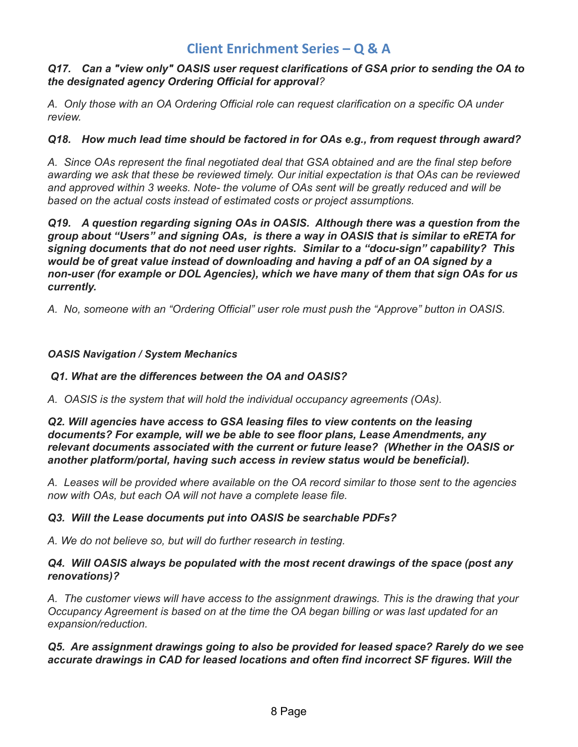#### *Q17. Can a "view only" OASIS user request clarifications of GSA prior to sending the OA to the designated agency Ordering Official for approval?*

 *A. Only those with an OA Ordering Official role can request clarification on a specific OA under review.*

#### *Q18. How much lead time should be factored in for OAs e.g., from request through award?*

 *A. Since OAs represent the final negotiated deal that GSA obtained and are the final step before* awarding we ask that these be reviewed timely. Our initial expectation is that OAs can be reviewed  *and approved within 3 weeks. Note- the volume of OAs sent will be greatly reduced and will be based on the actual costs instead of estimated costs or project assumptions.*

 *Q19. A question regarding signing OAs in OASIS. Although there was a question from the group about "Users" and signing OAs, is there a way in OASIS that is similar to eRETA for signing documents that do not need user rights. Similar to a "docu-sign" capability? This would be of great value instead of downloading and having a pdf of an OA signed by a non-user (for example or DOL Agencies), which we have many of them that sign OAs for us currently.*

 *A. No, someone with an "Ordering Official" user role must push the "Approve" button in OASIS.*

#### <span id="page-7-0"></span> *OASIS Navigation / System Mechanics*

#### *Q1. What are the differences between the OA and OASIS?*

 *A. OASIS is the system that will hold the individual occupancy agreements (OAs).*

 *Q2. Will agencies have access to GSA leasing files to view contents on the leasing documents? For example, will we be able to see floor plans, Lease Amendments, any relevant documents associated with the current or future lease? (Whether in the OASIS or another platform/portal, having such access in review status would be beneficial).*

A. Leases will be provided where available on the OA record similar to those sent to the agencies  *now with OAs, but each OA will not have a complete lease file.*

#### *Q3. Will the Lease documents put into OASIS be searchable PDFs?*

 *A. We do not believe so, but will do further research in testing.*

#### *Q4. Will OASIS always be populated with the most recent drawings of the space (post any renovations)?*

 *A. The customer views will have access to the assignment drawings. This is the drawing that your* Occupancy Agreement is based on at the time the OA began billing or was last updated for an *expansion/reduction.*

#### *Q5. Are assignment drawings going to also be provided for leased space? Rarely do we see accurate drawings in CAD for leased locations and often find incorrect SF figures. Will the*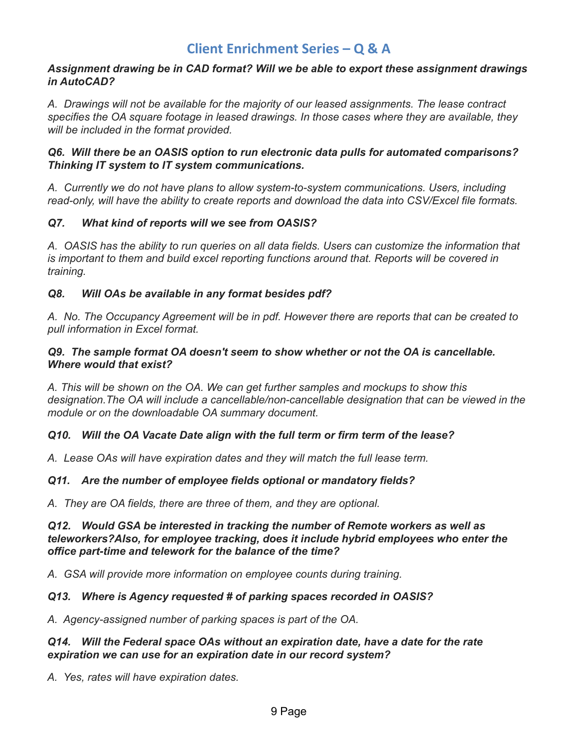#### *Assignment drawing be in CAD format? Will we be able to export these assignment drawings in AutoCAD?*

 *A. Drawings will not be available for the majority of our leased assignments. The lease contract specifies the OA square footage in leased drawings. In those cases where they are available, they will be included in the format provided.*

#### *Q6. Will there be an OASIS option to run electronic data pulls for automated comparisons? Thinking IT system to IT system communications.*

 *A. Currently we do not have plans to allow system-to-system communications. Users, including read-only, will have the ability to create reports and download the data into CSV/Excel file formats.*

#### *Q7. What kind of reports will we see from OASIS?*

A. OASIS has the ability to run queries on all data fields. Users can customize the information that  *is important to them and build excel reporting functions around that. Reports will be covered in training.*

### *Q8. Will OAs be available in any format besides pdf?*

A. No. The Occupancy Agreement will be in pdf. However there are reports that can be created to  *pull information in Excel format.*

#### *Q9. The sample format OA doesn't seem to show whether or not the OA is cancellable. Where would that exist?*

 *A. This will be shown on the OA. We can get further samples and mockups to show this designation.The OA will include a cancellable/non-cancellable designation that can be viewed in the module or on the downloadable OA summary document.*

#### *Q10. Will the OA Vacate Date align with the full term or firm term of the lease?*

 *A. Lease OAs will have expiration dates and they will match the full lease term.*

#### *Q11. Are the number of employee fields optional or mandatory fields?*

 *A. They are OA fields, there are three of them, and they are optional.*

#### *Q12. Would GSA be interested in tracking the number of Remote workers as well as teleworkers?Also, for employee tracking, does it include hybrid employees who enter the office part-time and telework for the balance of the time?*

 *A. GSA will provide more information on employee counts during training.*

#### *Q13. Where is Agency requested # of parking spaces recorded in OASIS?*

 *A. Agency-assigned number of parking spaces is part of the OA.*

#### *Q14. Will the Federal space OAs without an expiration date, have a date for the rate expiration we can use for an expiration date in our record system?*

 *A. Yes, rates will have expiration dates.*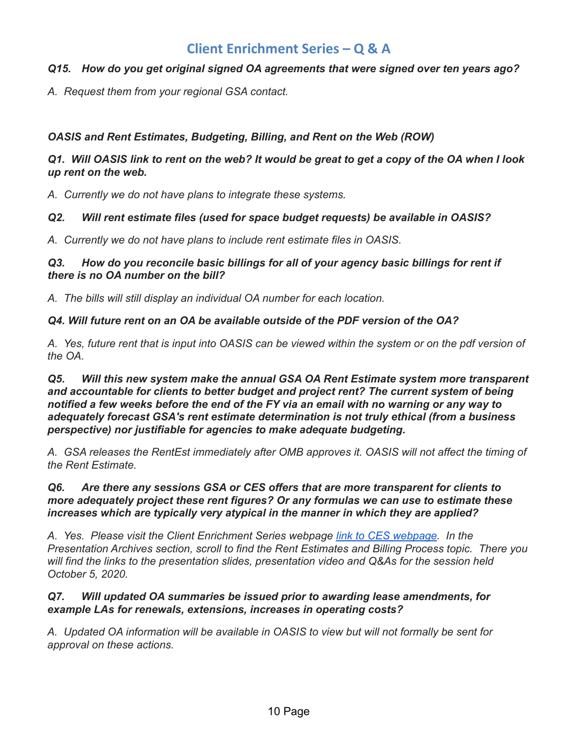#### *Q15. How do you get original signed OA agreements that were signed over ten years ago?*

 *A. Request them from your regional GSA contact.*

#### <span id="page-9-0"></span> *OASIS and Rent Estimates, Budgeting, Billing, and Rent on the Web (ROW)*

#### Q1. Will OASIS link to rent on the web? It would be great to get a copy of the OA when I look  *up rent on the web.*

 *A. Currently we do not have plans to integrate these systems.*

#### *Q2. Will rent estimate files (used for space budget requests) be available in OASIS?*

 *A. Currently we do not have plans to include rent estimate files in OASIS.*

#### *Q3. How do you reconcile basic billings for all of your agency basic billings for rent if there is no OA number on the bill?*

 *A. The bills will still display an individual OA number for each location.*

#### *Q4. Will future rent on an OA be available outside of the PDF version of the OA?*

A. Yes, future rent that is input into OASIS can be viewed within the system or on the pdf version of *the OA.*

 *Q5. Will this new system make the annual GSA OA Rent Estimate system more transparent and accountable for clients to better budget and project rent? The current system of being* notified a few weeks before the end of the FY via an email with no warning or any way to  *adequately forecast GSA's rent estimate determination is not truly ethical (from a business perspective) nor justifiable for agencies to make adequate budgeting.*

A. GSA releases the RentEst immediately after OMB approves it. OASIS will not affect the timing of  *the Rent Estimate.*

#### *Q6. Are there any sessions GSA or CES offers that are more transparent for clients to more adequately project these rent figures? Or any formulas we can use to estimate these increases which are typically very atypical in the manner in which they are applied?*

 *A. Yes. Please visit the Client Enrichment Series webpage link to CES [webpage.](https://www.gsa.gov/about-us/events-and-training/gsa-training-programs/training-for-federal-employees/client-enrichment-series) In the Presentation Archives section, scroll to find the Rent Estimates and Billing Process topic. There you will find the links to the presentation slides, presentation video and Q&As for the session held October 5, 2020.*

#### *Q7. Will updated OA summaries be issued prior to awarding lease amendments, for example LAs for renewals, extensions, increases in operating costs?*

A. Updated OA information will be available in OASIS to view but will not formally be sent for  *approval on these actions.*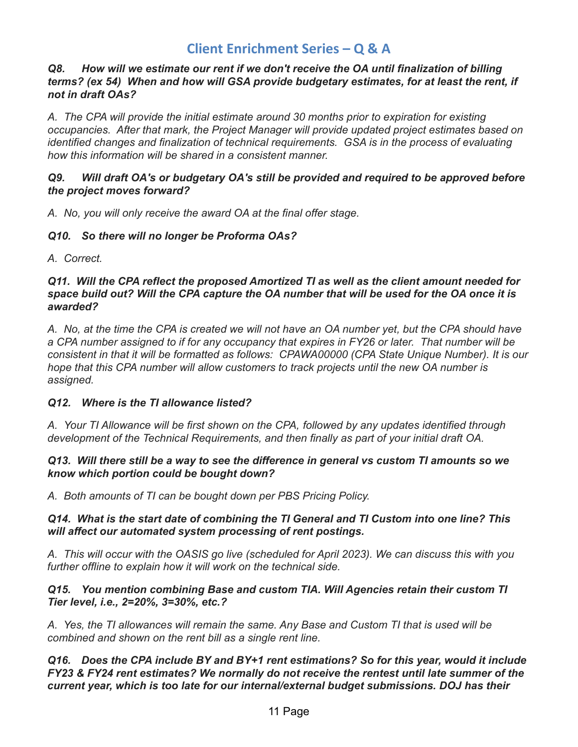#### *Q8. How will we estimate our rent if we don't receive the OA until finalization of billing terms? (ex 54) When and how will GSA provide budgetary estimates, for at least the rent, if not in draft OAs?*

 *A. The CPA will provide the initial estimate around 30 months prior to expiration for existing occupancies. After that mark, the Project Manager will provide updated project estimates based on identified changes and finalization of technical requirements. GSA is in the process of evaluating how this information will be shared in a consistent manner.*

#### *Q9. Will draft OA's or budgetary OA's still be provided and required to be approved before the project moves forward?*

 *A. No, you will only receive the award OA at the final offer stage.*

#### *Q10. So there will no longer be Proforma OAs?*

 *A. Correct.*

#### *Q11. Will the CPA reflect the proposed Amortized TI as well as the client amount needed for* space build out? Will the CPA capture the OA number that will be used for the OA once it is *awarded?*

A. No, at the time the CPA is created we will not have an OA number yet, but the CPA should have a CPA number assigned to if for any occupancy that expires in FY26 or later. That number will be consistent in that it will be formatted as follows: CPAWA00000 (CPA State Unique Number). It is our  *hope that this CPA number will allow customers to track projects until the new OA number is assigned.*

#### *Q12. Where is the TI allowance listed?*

 *A. Your TI Allowance will be first shown on the CPA, followed by any updates identified through development of the Technical Requirements, and then finally as part of your initial draft OA.*

#### Q13. Will there still be a way to see the difference in general vs custom TI amounts so we  *know which portion could be bought down?*

 *A. Both amounts of TI can be bought down per PBS Pricing Policy.*

#### *Q14. What is the start date of combining the TI General and TI Custom into one line? This will affect our automated system processing of rent postings.*

A. This will occur with the OASIS go live (scheduled for April 2023). We can discuss this with you  *further offline to explain how it will work on the technical side.*

#### *Q15. You mention combining Base and custom TIA. Will Agencies retain their custom TI Tier level, i.e., 2=20%, 3=30%, etc.?*

A. Yes, the TI allowances will remain the same. Any Base and Custom TI that is used will be  *combined and shown on the rent bill as a single rent line.*

 *Q16. Does the CPA include BY and BY+1 rent estimations? So for this year, would it include FY23 & FY24 rent estimates? We normally do not receive the rentest until late summer of the current year, which is too late for our internal/external budget submissions. DOJ has their*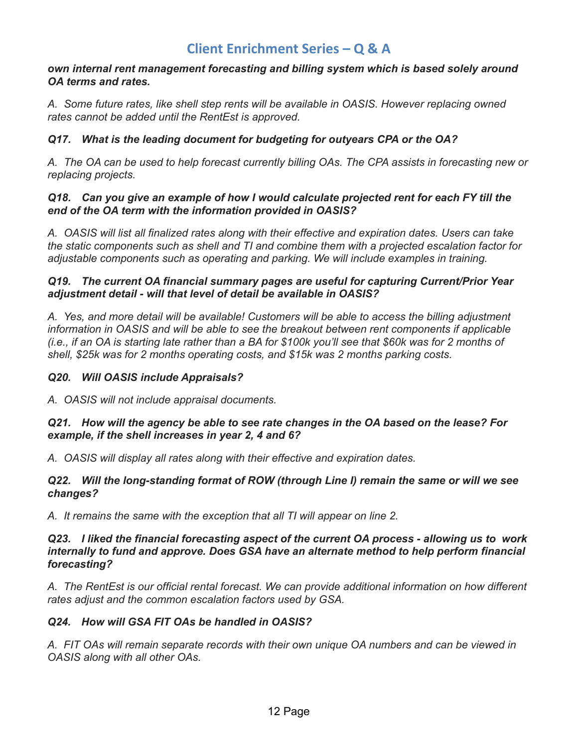#### *own internal rent management forecasting and billing system which is based solely around OA terms and rates.*

 *A. Some future rates, like shell step rents will be available in OASIS. However replacing owned rates cannot be added until the RentEst is approved.*

#### *Q17. What is the leading document for budgeting for outyears CPA or the OA?*

A. The OA can be used to help forecast currently billing OAs. The CPA assists in forecasting new or *replacing projects.*

#### *Q18. Can you give an example of how I would calculate projected rent for each FY till the end of the OA term with the information provided in OASIS?*

A. OASIS will list all finalized rates along with their effective and expiration dates. Users can take the static components such as shell and TI and combine them with a projected escalation factor for  *adjustable components such as operating and parking. We will include examples in training.*

#### *Q19. The current OA financial summary pages are useful for capturing Current/Prior Year adjustment detail - will that level of detail be available in OASIS?*

A. Yes, and more detail will be available! Customers will be able to access the billing adjustment  *information in OASIS and will be able to see the breakout between rent components if applicable* (i.e., if an OA is starting late rather than a BA for \$100k you'll see that \$60k was for 2 months of  *shell, \$25k was for 2 months operating costs, and \$15k was 2 months parking costs.*

#### *Q20. Will OASIS include Appraisals?*

 *A. OASIS will not include appraisal documents.*

#### Q21. How will the agency be able to see rate changes in the OA based on the lease? For  *example, if the shell increases in year 2, 4 and 6?*

 *A. OASIS will display all rates along with their effective and expiration dates.*

#### *Q22. Will the long-standing format of ROW (through Line I) remain the same or will we see changes?*

 *A. It remains the same with the exception that all TI will appear on line 2.*

#### *Q23. I liked the financial forecasting aspect of the current OA process - allowing us to work internally to fund and approve. Does GSA have an alternate method to help perform financial forecasting?*

 *A. The RentEst is our official rental forecast. We can provide additional information on how different rates adjust and the common escalation factors used by GSA.*

#### *Q24. How will GSA FIT OAs be handled in OASIS?*

A. FIT OAs will remain separate records with their own unique OA numbers and can be viewed in  *OASIS along with all other OAs.*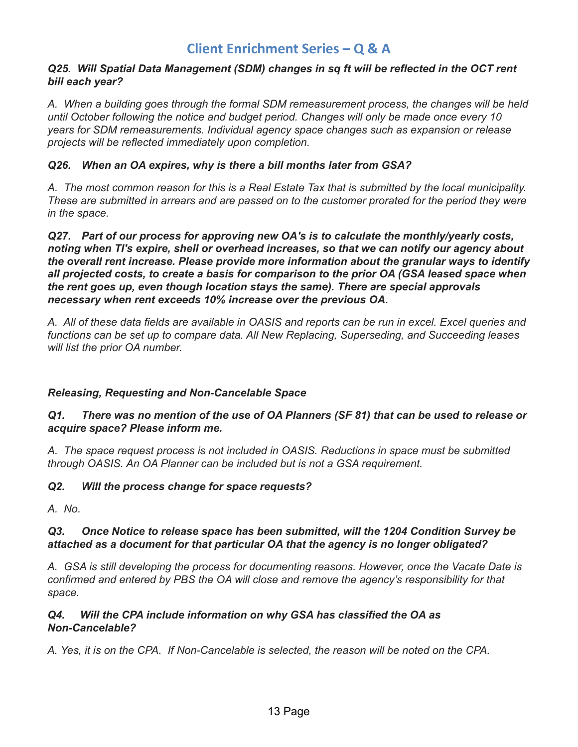#### *Q25. Will Spatial Data Management (SDM) changes in sq ft will be reflected in the OCT rent bill each year?*

 *A. When a building goes through the formal SDM remeasurement process, the changes will be held until October following the notice and budget period. Changes will only be made once every 10 years for SDM remeasurements. Individual agency space changes such as expansion or release projects will be reflected immediately upon completion.*

#### *Q26. When an OA expires, why is there a bill months later from GSA?*

A. The most common reason for this is a Real Estate Tax that is submitted by the local municipality. These are submitted in arrears and are passed on to the customer prorated for the period they were  *in the space.*

 *Q27. Part of our process for approving new OA's is to calculate the monthly/yearly costs, noting when TI's expire, shell or overhead increases, so that we can notify our agency about the overall rent increase. Please provide more information about the granular ways to identify all projected costs, to create a basis for comparison to the prior OA (GSA leased space when the rent goes up, even though location stays the same). There are special approvals necessary when rent exceeds 10% increase over the previous OA.*

A. All of these data fields are available in OASIS and reports can be run in excel. Excel queries and  *functions can be set up to compare data. All New Replacing, Superseding, and Succeeding leases will list the prior OA number.*

#### <span id="page-12-0"></span> *Releasing, Requesting and Non-Cancelable Space*

#### Q1. There was no mention of the use of OA Planners (SF 81) that can be used to release or  *acquire space? Please inform me.*

 *A. The space request process is not included in OASIS. Reductions in space must be submitted through OASIS. An OA Planner can be included but is not a GSA requirement.*

#### *Q2. Will the process change for space requests?*

 *A. No.*

#### *Q3. Once Notice to release space has been submitted, will the 1204 Condition Survey be attached as a document for that particular OA that the agency is no longer obligated?*

 *A. GSA is still developing the process for documenting reasons. However, once the Vacate Date is confirmed and entered by PBS the OA will close and remove the agency's responsibility for that space.*

#### Q4. *Q4. Will the CPA include information on why GSA has classified the OA as Non-Cancelable?*

A. Yes, it is on the CPA. If Non-Cancelable is selected, the reason will be noted on the CPA.